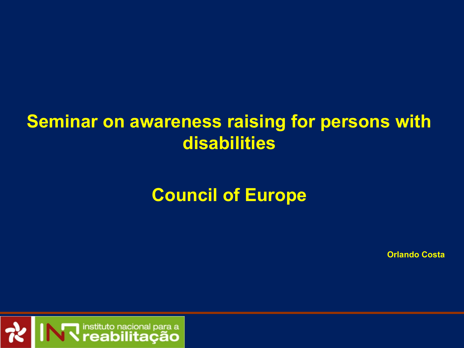### **Seminar on awareness raising for persons with disabilities**

## **Council of Europe**

**Orlando Costa**

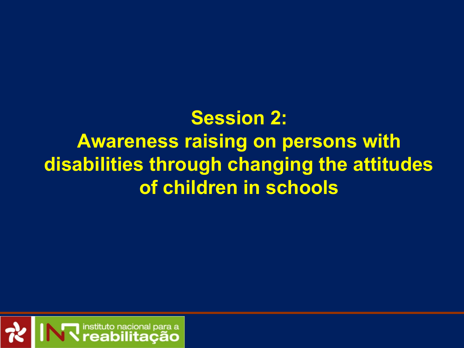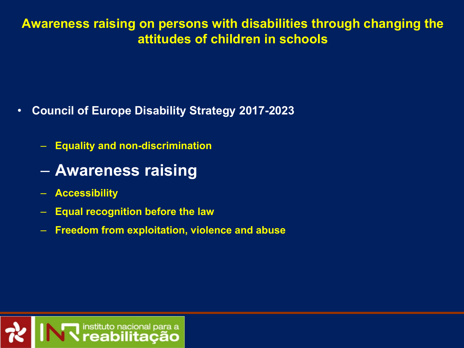- **Council of Europe Disability Strategy 2017-2023**
	- **Equality and non-discrimination**
	- **Awareness raising**
	- **Accessibility**
	- **Equal recognition before the law**
	- **Freedom from exploitation, violence and abuse**

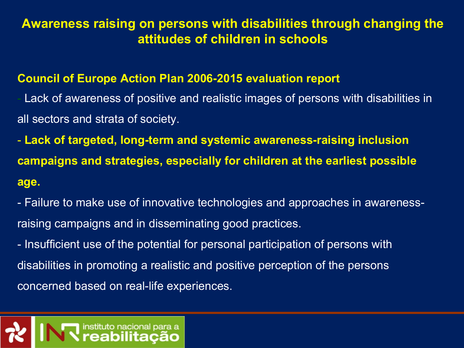#### **Council of Europe Action Plan 2006-2015 evaluation report**

Lack of awareness of positive and realistic images of persons with disabilities in all sectors and strata of society.

- **Lack of targeted, long-term and systemic awareness-raising inclusion campaigns and strategies, especially for children at the earliest possible age.** 

- Failure to make use of innovative technologies and approaches in awarenessraising campaigns and in disseminating good practices.

- Insufficient use of the potential for personal participation of persons with disabilities in promoting a realistic and positive perception of the persons concerned based on real-life experiences.

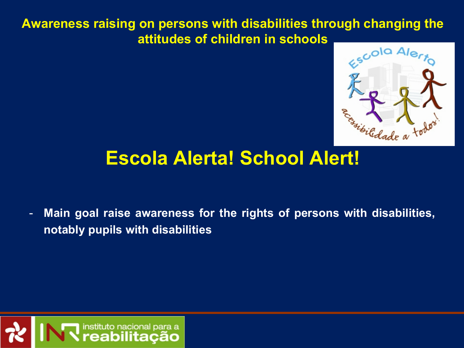

### **Escola Alerta! School Alert!**

- **Main goal raise awareness for the rights of persons with disabilities, notably pupils with disabilities**

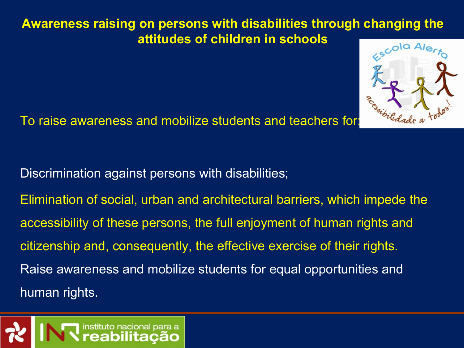

To raise awareness and mobilize students and teachers for:

Discrimination against persons with disabilities;

Elimination of social, urban and architectural barriers, which impede the accessibility of these persons, the full enjoyment of human rights and citizenship and, consequently, the effective exercise of their rights. Raise awareness and mobilize students for equal opportunities and human rights.

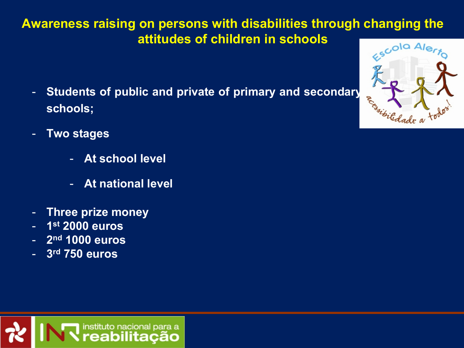- **Students of public and private of primary and secondary schools;**
- **Two stages**
	- **At school level**
	- **At national level**
- **Three prize money**
- **1 st 2000 euros**
- **2 nd 1000 euros**
- **3 rd 750 euros**

instituto nacional para a eabilitacão

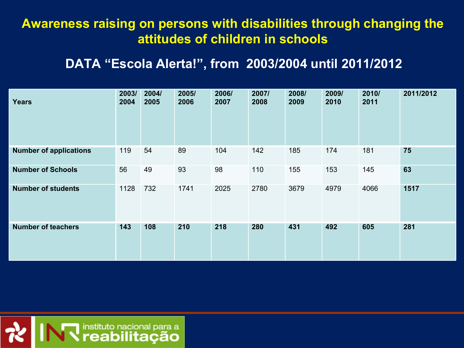#### **DATA "Escola Alerta!", from 2003/2004 until 2011/2012**

| <b>Years</b>                  | 2003/<br>2004 | 2004/<br>2005 | 2005/<br>2006 | 2006/<br>2007 | 2007/<br>2008 | 2008/<br>2009 | 2009/<br>2010 | 2010/<br>2011 | 2011/2012 |
|-------------------------------|---------------|---------------|---------------|---------------|---------------|---------------|---------------|---------------|-----------|
| <b>Number of applications</b> | 119           | 54            | 89            | 104           | 142           | 185           | 174           | 181           | 75        |
| <b>Number of Schools</b>      | 56            | 49            | 93            | 98            | 110           | 155           | 153           | 145           | 63        |
| <b>Number of students</b>     | 1128          | 732           | 1741          | 2025          | 2780          | 3679          | 4979          | 4066          | 1517      |
| <b>Number of teachers</b>     | 143           | 108           | 210           | 218           | 280           | 431           | 492           | 605           | 281       |

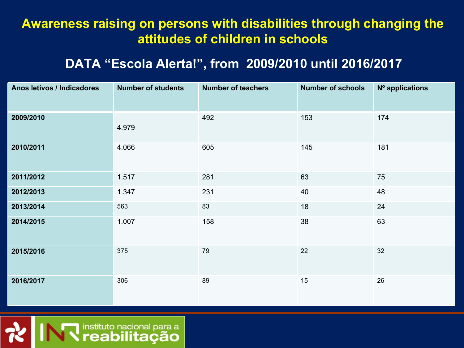#### **DATA "Escola Alerta!", from 2009/2010 until 2016/2017**

| Anos letivos / Indicadores | <b>Number of students</b> | <b>Number of teachers</b> | <b>Number of schools</b> | Nº applications |
|----------------------------|---------------------------|---------------------------|--------------------------|-----------------|
| 2009/2010                  | 4.979                     | 492                       | 153                      | 174             |
| 2010/2011                  | 4.066                     | 605                       | 145                      | 181             |
| 2011/2012                  | 1.517                     | 281                       | 63                       | 75              |
| 2012/2013                  | 1.347                     | 231                       | 40                       | 48              |
| 2013/2014                  | 563                       | 83                        | 18                       | 24              |
| 2014/2015                  | 1.007                     | 158                       | 38                       | 63              |
| 2015/2016                  | 375                       | 79                        | 22                       | 32              |
| 2016/2017                  | 306                       | 89                        | 15                       | 26              |

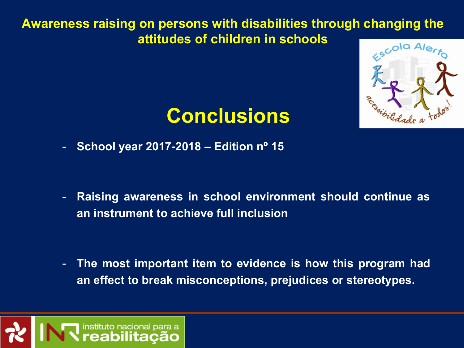

# **Conclusions**

- **School year 2017-2018 – Edition nº 15**

- **Raising awareness in school environment should continue as an instrument to achieve full inclusion**

- **The most important item to evidence is how this program had an effect to break misconceptions, prejudices or stereotypes.** 

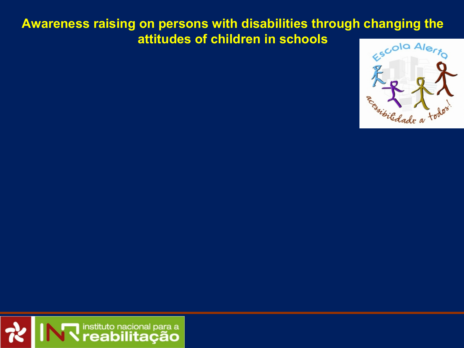